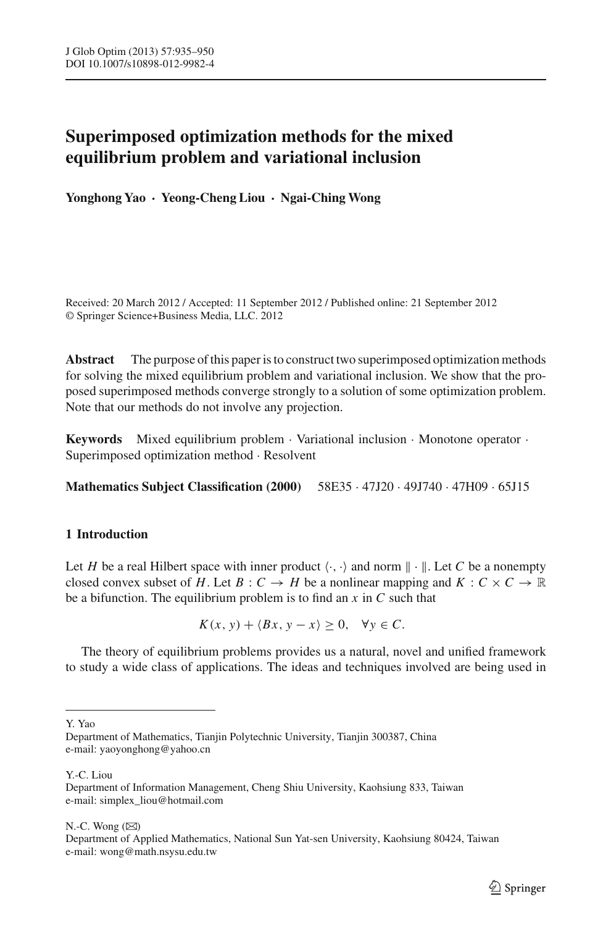# **Superimposed optimization methods for the mixed equilibrium problem and variational inclusion**

**Yonghong Yao · Yeong-Cheng Liou · Ngai-Ching Wong**

Received: 20 March 2012 / Accepted: 11 September 2012 / Published online: 21 September 2012 © Springer Science+Business Media, LLC. 2012

**Abstract** The purpose of this paper is to construct two superimposed optimization methods for solving the mixed equilibrium problem and variational inclusion. We show that the proposed superimposed methods converge strongly to a solution of some optimization problem. Note that our methods do not involve any projection.

**Keywords** Mixed equilibrium problem · Variational inclusion · Monotone operator · Superimposed optimization method · Resolvent

**Mathematics Subject Classification (2000)** 58E35 · 47J20 · 49J740 · 47H09 · 65J15

# **1 Introduction**

Let *H* be a real Hilbert space with inner product  $\langle \cdot, \cdot \rangle$  and norm  $\| \cdot \|$ . Let *C* be a nonempty closed convex subset of *H*. Let *B* :  $C \rightarrow H$  be a nonlinear mapping and  $K : C \times C \rightarrow \mathbb{R}$ be a bifunction. The equilibrium problem is to find an *x* in *C* such that

 $K(x, y) + \langle Bx, y - x \rangle \geq 0, \quad \forall y \in C.$ 

The theory of equilibrium problems provides us a natural, novel and unified framework to study a wide class of applications. The ideas and techniques involved are being used in

Y. Yao

Y.-C. Liou

N.-C. Wong  $(\boxtimes)$ 

Department of Applied Mathematics, National Sun Yat-sen University, Kaohsiung 80424, Taiwan e-mail: wong@math.nsysu.edu.tw

Department of Mathematics, Tianjin Polytechnic University, Tianjin 300387, China e-mail: yaoyonghong@yahoo.cn

Department of Information Management, Cheng Shiu University, Kaohsiung 833, Taiwan e-mail: simplex\_liou@hotmail.com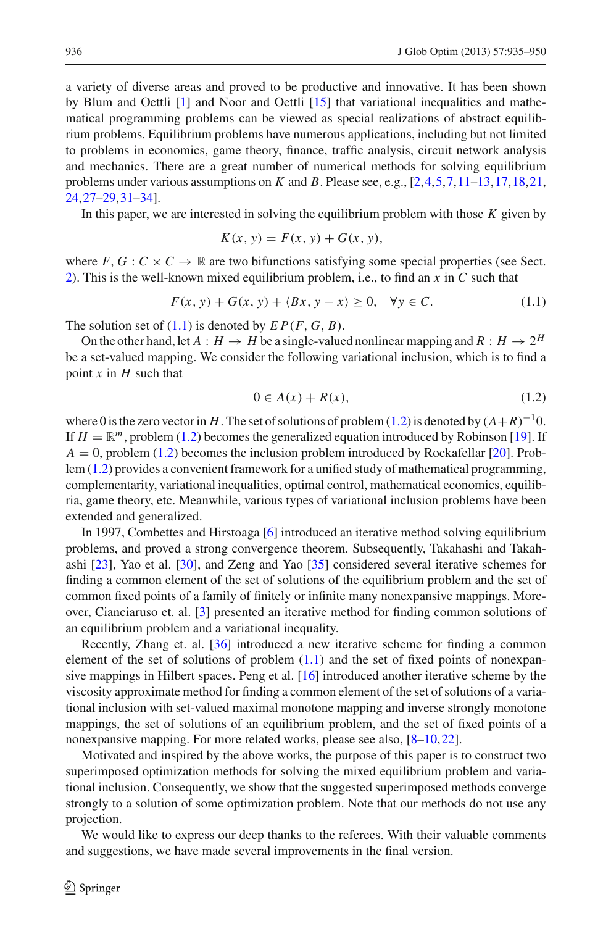a variety of diverse areas and proved to be productive and innovative. It has been shown by Blum and Oettli [\[1](#page-14-0)] and Noor and Oettli [\[15](#page-14-1)] that variational inequalities and mathematical programming problems can be viewed as special realizations of abstract equilibrium problems. Equilibrium problems have numerous applications, including but not limited to problems in economics, game theory, finance, traffic analysis, circuit network analysis and mechanics. There are a great number of numerical methods for solving equilibrium problems under various assumptions on *K* and *B*. Please see, e.g., [\[2,](#page-14-2)[4,](#page-14-3)[5](#page-14-4)[,7](#page-14-5)[,11](#page-14-6)[–13](#page-14-7)[,17,](#page-14-8)[18](#page-14-9)[,21,](#page-14-10) [24,](#page-14-11)[27](#page-14-12)[–29](#page-14-13),[31](#page-15-0)[–34](#page-15-1)].

In this paper, we are interested in solving the equilibrium problem with those *K* given by

$$
K(x, y) = F(x, y) + G(x, y),
$$

where  $F, G: C \times C \rightarrow \mathbb{R}$  are two bifunctions satisfying some special properties (see Sect. [2\)](#page-2-0). This is the well-known mixed equilibrium problem, i.e., to find an *x* in *C* such that

$$
F(x, y) + G(x, y) + \langle Bx, y - x \rangle \ge 0, \quad \forall y \in C. \tag{1.1}
$$

<span id="page-1-0"></span>The solution set of  $(1.1)$  is denoted by  $EP(F, G, B)$ .

On the other hand, let  $A : H \to H$  be a single-valued nonlinear mapping and  $R : H \to 2^H$ be a set-valued mapping. We consider the following variational inclusion, which is to find a point *x* in *H* such that

$$
0 \in A(x) + R(x),\tag{1.2}
$$

<span id="page-1-1"></span>where 0 is the zero vector in *H*. The set of solutions of problem [\(1.2\)](#page-1-1) is denoted by  $(A+R)^{-1}0$ . If  $H = \mathbb{R}^m$ , problem [\(1.2\)](#page-1-1) becomes the generalized equation introduced by Robinson [\[19](#page-14-14)]. If  $A = 0$ , problem [\(1.2\)](#page-1-1) becomes the inclusion problem introduced by Rockafellar [\[20](#page-14-15)]. Problem [\(1.2\)](#page-1-1) provides a convenient framework for a unified study of mathematical programming, complementarity, variational inequalities, optimal control, mathematical economics, equilibria, game theory, etc. Meanwhile, various types of variational inclusion problems have been extended and generalized.

In 1997, Combettes and Hirstoaga [\[6\]](#page-14-16) introduced an iterative method solving equilibrium problems, and proved a strong convergence theorem. Subsequently, Takahashi and Takahashi [\[23](#page-14-17)], Yao et al. [\[30\]](#page-15-2), and Zeng and Yao [\[35\]](#page-15-3) considered several iterative schemes for finding a common element of the set of solutions of the equilibrium problem and the set of common fixed points of a family of finitely or infinite many nonexpansive mappings. Moreover, Cianciaruso et. al. [\[3](#page-14-18)] presented an iterative method for finding common solutions of an equilibrium problem and a variational inequality.

Recently, Zhang et. al. [\[36](#page-15-4)] introduced a new iterative scheme for finding a common element of the set of solutions of problem  $(1.1)$  and the set of fixed points of nonexpansive mappings in Hilbert spaces. Peng et al. [\[16\]](#page-14-19) introduced another iterative scheme by the viscosity approximate method for finding a common element of the set of solutions of a variational inclusion with set-valued maximal monotone mapping and inverse strongly monotone mappings, the set of solutions of an equilibrium problem, and the set of fixed points of a nonexpansive mapping. For more related works, please see also, [\[8](#page-14-20)[–10,](#page-14-21)[22](#page-14-22)].

Motivated and inspired by the above works, the purpose of this paper is to construct two superimposed optimization methods for solving the mixed equilibrium problem and variational inclusion. Consequently, we show that the suggested superimposed methods converge strongly to a solution of some optimization problem. Note that our methods do not use any projection.

We would like to express our deep thanks to the referees. With their valuable comments and suggestions, we have made several improvements in the final version.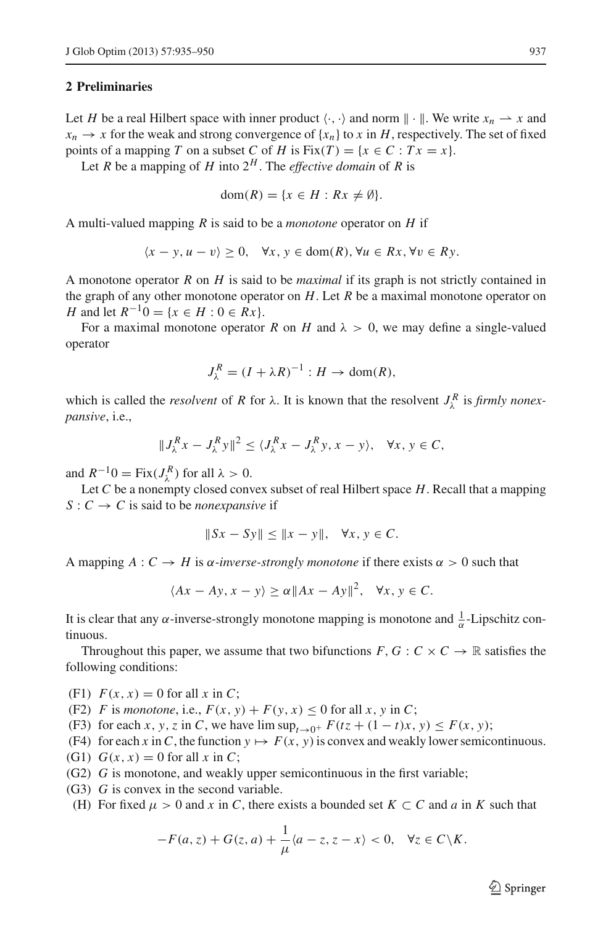## <span id="page-2-0"></span>**2 Preliminaries**

Let *H* be a real Hilbert space with inner product  $\langle \cdot, \cdot \rangle$  and norm  $\| \cdot \|$ . We write  $x_n \to x$  and  $x_n \to x$  for the weak and strong convergence of  $\{x_n\}$  to *x* in *H*, respectively. The set of fixed points of a mapping *T* on a subset *C* of *H* is Fix $(T) = \{x \in C : Tx = x\}.$ 

Let *R* be a mapping of *H* into  $2^H$ . The *effective domain* of *R* is

$$
dom(R) = \{x \in H : Rx \neq \emptyset\}.
$$

A multi-valued mapping *R* is said to be a *monotone* operator on *H* if

$$
\langle x - y, u - v \rangle \ge 0, \quad \forall x, y \in \text{dom}(R), \forall u \in Rx, \forall v \in Ry.
$$

A monotone operator *R* on *H* is said to be *maximal* if its graph is not strictly contained in the graph of any other monotone operator on *H*. Let *R* be a maximal monotone operator on *H* and let  $R^{-1}0 = \{x \in H : 0 \in Rx\}$ .

For a maximal monotone operator *R* on *H* and  $\lambda > 0$ , we may define a single-valued operator

$$
J_{\lambda}^{R} = (I + \lambda R)^{-1} : H \to \text{dom}(R),
$$

which is called the *resolvent* of *R* for  $\lambda$ . It is known that the resolvent  $J_{\lambda}^{R}$  is *firmly nonexpansive*, i.e.,

$$
||J_{\lambda}^{R} x - J_{\lambda}^{R} y||^{2} \le \langle J_{\lambda}^{R} x - J_{\lambda}^{R} y, x - y \rangle, \quad \forall x, y \in C,
$$

and  $R^{-1}0 = \text{Fix}(J_{\lambda}^R)$  for all  $\lambda > 0$ .

Let *C* be a nonempty closed convex subset of real Hilbert space *H*. Recall that a mapping  $S: C \to C$  is said to be *nonexpansive* if

$$
||Sx - Sy|| \le ||x - y||, \quad \forall x, y \in C.
$$

A mapping  $A: C \to H$  is  $\alpha$ -inverse-strongly monotone if there exists  $\alpha > 0$  such that

$$
\langle Ax - Ay, x - y \rangle \ge \alpha ||Ax - Ay||^2, \quad \forall x, y \in C.
$$

It is clear that any  $\alpha$ -inverse-strongly monotone mapping is monotone and  $\frac{1}{\alpha}$ -Lipschitz continuous.

Throughout this paper, we assume that two bifunctions  $F, G : C \times C \rightarrow \mathbb{R}$  satisfies the following conditions:

(F1)  $F(x, x) = 0$  for all x in C;

(F2) *F* is *monotone*, i.e.,  $F(x, y) + F(y, x) \le 0$  for all *x*, *y* in *C*;

(F3) for each *x*, *y*, *z* in *C*, we have lim  $\sup_{t\to 0^+} F(tz + (1-t)x, y) \leq F(x, y);$ 

- (F4) for each *x* in C, the function  $y \mapsto F(x, y)$  is convex and weakly lower semicontinuous.
- (G1)  $G(x, x) = 0$  for all x in C;
- (G2) *G* is monotone, and weakly upper semicontinuous in the first variable;
- (G3) *G* is convex in the second variable.
- <span id="page-2-1"></span>(H) For fixed  $\mu > 0$  and x in C, there exists a bounded set  $K \subset C$  and a in K such that

$$
-F(a,z) + G(z,a) + \frac{1}{\mu} \langle a-z, z-x \rangle < 0, \quad \forall z \in C \backslash K.
$$

 $\circled{2}$  Springer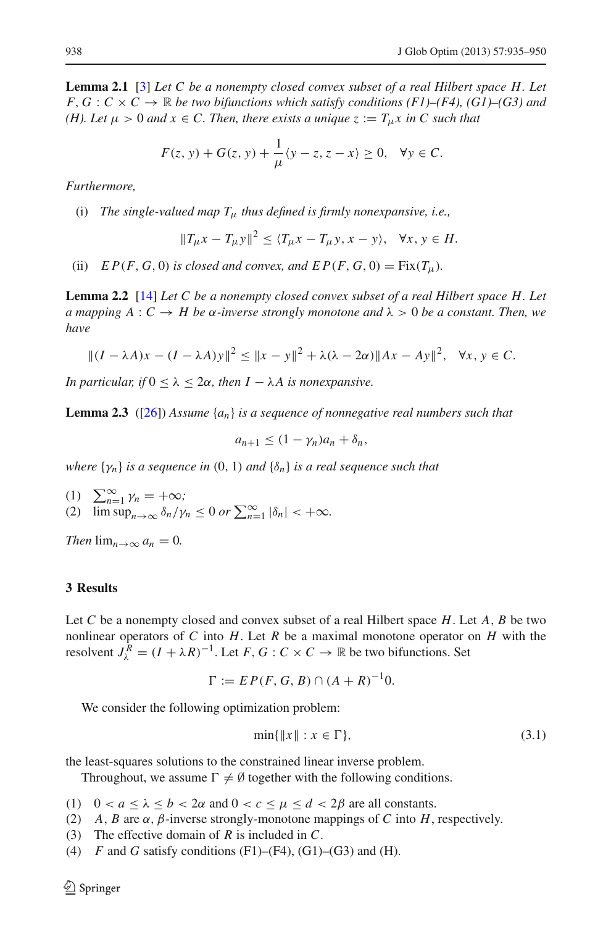**Lemma 2.1** [\[3](#page-14-18)] *Let C be a nonempty closed convex subset of a real Hilbert space H. Let*  $F, G: C \times C \rightarrow \mathbb{R}$  be two bifunctions which satisfy conditions (F1)–(F4), (G1)–(G3) and *(H). Let*  $\mu > 0$  *and*  $x \in C$ . Then, there exists a unique  $z := T_{\mu}x$  in C such that

$$
F(z, y) + G(z, y) + \frac{1}{\mu} \langle y - z, z - x \rangle \ge 0, \quad \forall y \in C.
$$

*Furthermore,*

(i) *The single-valued map T*<sup>μ</sup> *thus defined is firmly nonexpansive, i.e.,*

$$
||T_{\mu}x - T_{\mu}y||^2 \le \langle T_{\mu}x - T_{\mu}y, x - y \rangle, \quad \forall x, y \in H.
$$

(ii)  $EP(F, G, 0)$  *is closed and convex, and*  $EP(F, G, 0) = Fix(T_u)$ *.* 

<span id="page-3-1"></span>**Lemma 2.2** [\[14](#page-14-23)] *Let C be a nonempty closed convex subset of a real Hilbert space H. Let a* mapping  $A: C \to H$  be  $\alpha$ -inverse strongly monotone and  $\lambda > 0$  be a constant. Then, we *have*

$$
||(I - \lambda A)x - (I - \lambda A)y||^2 \le ||x - y||^2 + \lambda(\lambda - 2\alpha)||Ax - Ay||^2, \quad \forall x, y \in C.
$$

*In particular, if*  $0 \leq \lambda \leq 2\alpha$ *, then*  $I - \lambda A$  *is nonexpansive.* 

<span id="page-3-2"></span>**Lemma 2.3** ([\[26](#page-14-24)]) *Assume* {*an*} *is a sequence of nonnegative real numbers such that*

 $a_{n+1} \leq (1 - \gamma_n)a_n + \delta_n,$ 

*where*  $\{\gamma_n\}$  *is a sequence in* (0, 1) *and*  $\{\delta_n\}$  *is a real sequence such that* 

(1)  $\sum_{n=1}^{\infty} \gamma_n = +\infty;$ (2)  $\limsup_{n\to\infty} \frac{\delta_n}{\gamma_n} \leq 0 \text{ or } \sum_{n=1}^{\infty} |\delta_n| < +\infty.$ 

*Then*  $\lim_{n\to\infty} a_n = 0$ .

### **3 Results**

Let *C* be a nonempty closed and convex subset of a real Hilbert space *H*. Let *A*, *B* be two nonlinear operators of *C* into *H*. Let *R* be a maximal monotone operator on *H* with the resolvent  $J_{\lambda}^{R} = (I + \lambda R)^{-1}$ . Let *F*, *G* : *C* × *C* → R be two bifunctions. Set

$$
\Gamma := EP(F, G, B) \cap (A + R)^{-1}0.
$$

<span id="page-3-0"></span>We consider the following optimization problem:

$$
\min\{\|x\| : x \in \Gamma\},\tag{3.1}
$$

the least-squares solutions to the constrained linear inverse problem.

Throughout, we assume  $\Gamma \neq \emptyset$  together with the following conditions.

- (1)  $0 < a \le \lambda \le b < 2\alpha$  and  $0 < c \le \mu \le d < 2\beta$  are all constants.
- (2) *A*, *B* are  $\alpha$ ,  $\beta$ -inverse strongly-monotone mappings of *C* into *H*, respectively.
- (3) The effective domain of *R* is included in *C*.
- (4)  $F$  and  $G$  satisfy conditions (F1)–(F4), (G1)–(G3) and (H).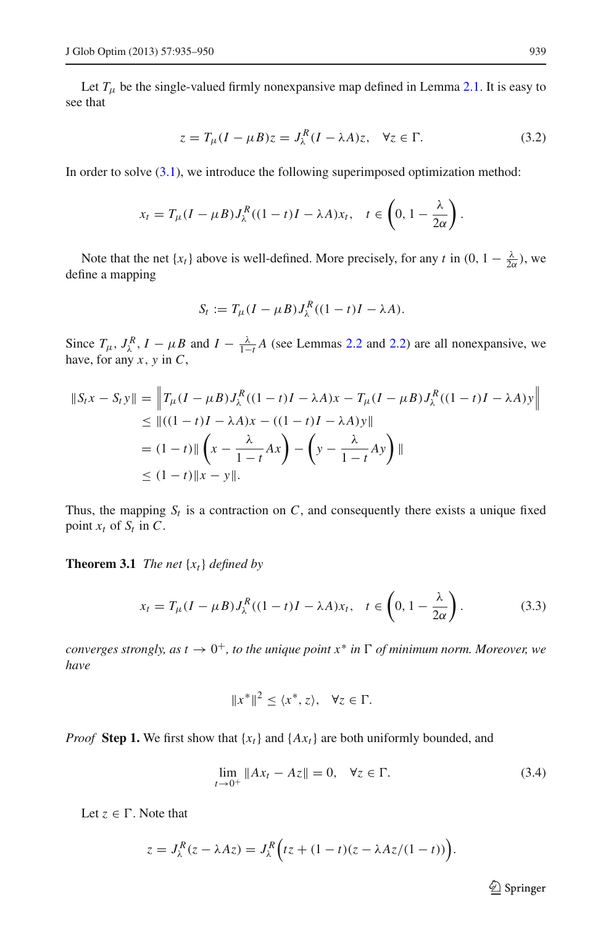Let  $T_{\mu}$  be the single-valued firmly nonexpansive map defined in Lemma [2.1.](#page-2-1) It is easy to see that

$$
z = T_{\mu}(I - \mu B)z = J_{\lambda}^{R}(I - \lambda A)z, \quad \forall z \in \Gamma.
$$
 (3.2)

<span id="page-4-0"></span>In order to solve  $(3.1)$ , we introduce the following superimposed optimization method:

$$
x_t = T_{\mu}(I - \mu B)J_{\lambda}^{R}((1 - t)I - \lambda A)x_t, \quad t \in \left(0, 1 - \frac{\lambda}{2\alpha}\right).
$$

Note that the net  $\{x_t\}$  above is well-defined. More precisely, for any *t* in  $(0, 1 - \frac{\lambda}{2\alpha})$ , we define a mapping

$$
S_t := T_\mu (I - \mu B) J_\lambda^R ((1 - t)I - \lambda A).
$$

Since  $T_{\mu}$ ,  $J_{\lambda}^{R}$ ,  $I - \mu B$  and  $I - \frac{\lambda}{1-t}A$  (see Lemmas [2.2](#page-3-1) and [2.2\)](#page-3-1) are all nonexpansive, we have, for any *x*, *y* in *C*,

$$
\begin{aligned} \|S_t x - S_t y\| &= \left\| T_\mu (I - \mu B) J_\lambda^R ((1 - t)I - \lambda A) x - T_\mu (I - \mu B) J_\lambda^R ((1 - t)I - \lambda A) y \right\| \\ &\leq \| ((1 - t)I - \lambda A) x - ((1 - t)I - \lambda A) y \| \\ &= (1 - t) \| \left( x - \frac{\lambda}{1 - t} A x \right) - \left( y - \frac{\lambda}{1 - t} A y \right) \| \\ &\leq (1 - t) \| x - y \| . \end{aligned}
$$

<span id="page-4-2"></span>Thus, the mapping  $S_t$  is a contraction on  $C$ , and consequently there exists a unique fixed point  $x_t$  of  $S_t$  in  $C$ .

<span id="page-4-1"></span>**Theorem 3.1** *The net* {*xt*} *defined by*

$$
x_t = T_{\mu}(I - \mu B)J_{\lambda}^{R}((1 - t)I - \lambda A)x_t, \quad t \in \left(0, 1 - \frac{\lambda}{2\alpha}\right).
$$
 (3.3)

*converges strongly, as t*  $\rightarrow 0^+$ *, to the unique point x<sup>\*</sup> in*  $\Gamma$  *of minimum norm. Moreover, we have*

$$
||x^*||^2 \le \langle x^*, z \rangle, \quad \forall z \in \Gamma.
$$

*Proof* **Step 1.** We first show that  ${x_t}$  and  ${A x_t}$  are both uniformly bounded, and

$$
\lim_{t \to 0^+} \|Ax_t - Az\| = 0, \quad \forall z \in \Gamma.
$$
 (3.4)

Let  $z \in \Gamma$ . Note that

$$
z = J_{\lambda}^{R}(z - \lambda Az) = J_{\lambda}^{R}(tz + (1 - t)(z - \lambda Az/(1 - t))).
$$

 $\hat{\mathfrak{D}}$  Springer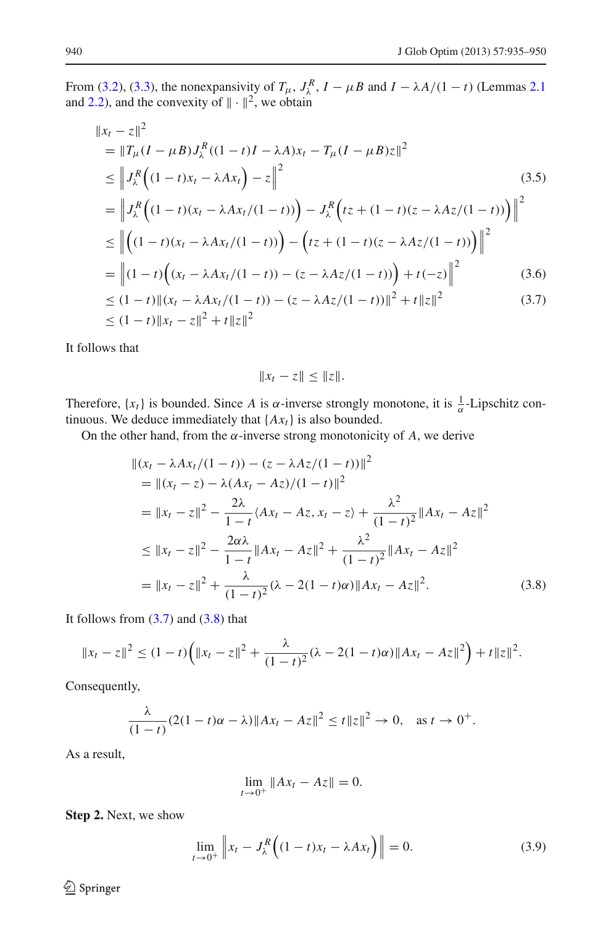<span id="page-5-0"></span>From [\(3.2\)](#page-4-0), [\(3.3\)](#page-4-1), the nonexpansivity of  $T_{\mu}$ ,  $J_{\lambda}^{R}$ ,  $I - \mu B$  and  $I - \lambda A/(1 - t)$  (Lemmas [2.1](#page-2-1)) and [2.2\)](#page-3-1), and the convexity of  $\|\cdot\|^2$ , we obtain

$$
||x_t - z||^2
$$
  
\n
$$
= ||T_{\mu}(I - \mu B)J_{\lambda}^{R}((1 - t)I - \lambda A)x_t - T_{\mu}(I - \mu B)z||^2
$$
  
\n
$$
\leq ||J_{\lambda}^{R}((1 - t)x_t - \lambda Ax_t) - z||^2
$$
(3.5)  
\n
$$
= ||J_{\lambda}^{R}((1 - t)(x_t - \lambda Ax_t/(1 - t))) - J_{\lambda}^{R}(tz + (1 - t)(z - \lambda Az/(1 - t)))||^2
$$
  
\n
$$
\leq ||((1 - t)(x_t - \lambda Ax_t/(1 - t))) - (tz + (1 - t)(z - \lambda Az/(1 - t)))||^2
$$
  
\n
$$
= ||(1 - t)((x_t - \lambda Ax_t/(1 - t)) - (z - \lambda Az/(1 - t))) + t(-z)||^2
$$
(3.6)  
\n
$$
\leq (1 - t) ||(x_t - \lambda Ax_t/(1 - t)) - (z - \lambda Az/(1 - t))||^2 + t||z||^2
$$
(3.7)

It follows that

$$
||x_t - z|| \leq ||z||.
$$

Therefore,  $\{x_t\}$  is bounded. Since *A* is  $\alpha$ -inverse strongly monotone, it is  $\frac{1}{\alpha}$ -Lipschitz continuous. We deduce immediately that  ${Ax<sub>t</sub>}$  is also bounded.

<span id="page-5-1"></span>On the other hand, from the  $\alpha$ -inverse strong monotonicity of  $A$ , we derive

$$
\begin{split}\n\|(x_t - \lambda A x_t/(1-t)) - (z - \lambda A z/(1-t))\|^2 \\
&= \|(x_t - z) - \lambda (A x_t - A z)/(1-t)\|^2 \\
&= \|x_t - z\|^2 - \frac{2\lambda}{1-t} \langle Ax_t - A z, x_t - z \rangle + \frac{\lambda^2}{(1-t)^2} \|Ax_t - A z\|^2 \\
&\le \|x_t - z\|^2 - \frac{2\alpha\lambda}{1-t} \|Ax_t - A z\|^2 + \frac{\lambda^2}{(1-t)^2} \|Ax_t - A z\|^2 \\
&= \|x_t - z\|^2 + \frac{\lambda}{(1-t)^2} (\lambda - 2(1-t)\alpha) \|Ax_t - A z\|^2.\n\end{split} \tag{3.8}
$$

It follows from  $(3.7)$  and  $(3.8)$  that

$$
||x_t - z||^2 \le (1-t)\left(||x_t - z||^2 + \frac{\lambda}{(1-t)^2}(\lambda - 2(1-t)\alpha)||Ax_t - Az||^2\right) + t||z||^2.
$$

Consequently,

$$
\frac{\lambda}{(1-t)}(2(1-t)\alpha - \lambda) \|Ax_t - Az\|^2 \le t \|z\|^2 \to 0, \text{ as } t \to 0^+.
$$

As a result,

$$
\lim_{t \to 0^+} \|Ax_t - Az\| = 0.
$$

**Step 2.** Next, we show

$$
\lim_{t \to 0^+} \left\| x_t - J_\lambda^R \left( (1 - t) x_t - \lambda A x_t \right) \right\| = 0. \tag{3.9}
$$

 $\bigcirc$  Springer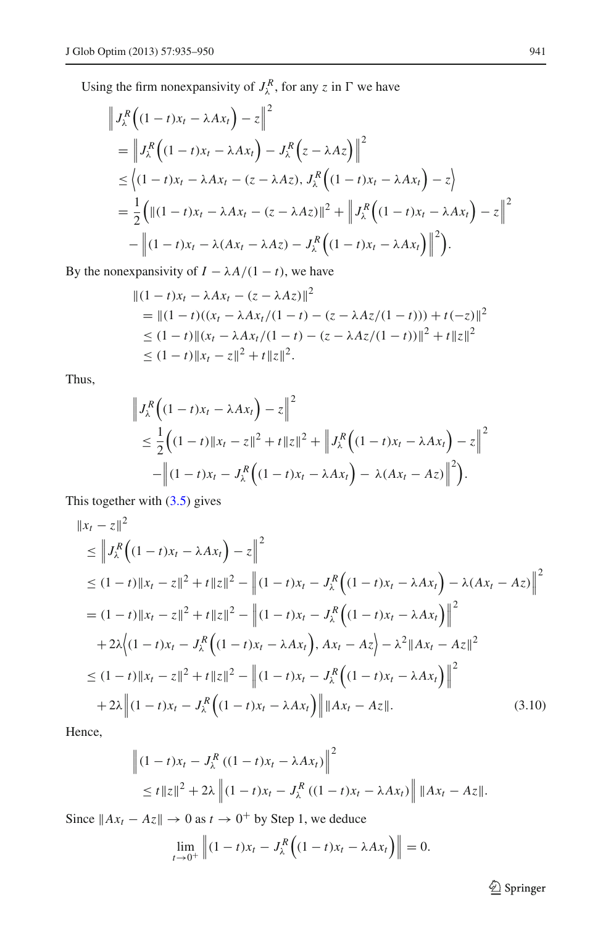Using the firm nonexpansivity of  $J_{\lambda}^{R}$ , for any *z* in  $\Gamma$  we have

$$
\begin{split} & \left\| J_{\lambda}^{R} \left( (1-t)x_{t} - \lambda A x_{t} \right) - z \right\|^{2} \\ & = \left\| J_{\lambda}^{R} \left( (1-t)x_{t} - \lambda A x_{t} \right) - J_{\lambda}^{R} \left( z - \lambda A z \right) \right\|^{2} \\ & \leq \left\langle (1-t)x_{t} - \lambda A x_{t} - (z - \lambda A z), J_{\lambda}^{R} \left( (1-t)x_{t} - \lambda A x_{t} \right) - z \right\rangle \\ & = \frac{1}{2} \left( \left\| (1-t)x_{t} - \lambda A x_{t} - (z - \lambda A z) \right\|^{2} + \left\| J_{\lambda}^{R} \left( (1-t)x_{t} - \lambda A x_{t} \right) - z \right\|^{2} \\ & - \left\| (1-t)x_{t} - \lambda (A x_{t} - \lambda A z) - J_{\lambda}^{R} \left( (1-t)x_{t} - \lambda A x_{t} \right) \right\|^{2} \right). \end{split}
$$

By the nonexpansivity of  $I - \lambda A/(1 - t)$ , we have

$$
\begin{aligned} &\|(1-t)x_t - \lambda Ax_t - (z - \lambda Az)\|^2 \\ &= \|(1-t)((x_t - \lambda Ax_t/(1-t) - (z - \lambda Az/(1-t))) + t(-z)\|^2 \\ &\le (1-t) \|(x_t - \lambda Ax_t/(1-t) - (z - \lambda Az/(1-t))\|^2 + t \|z\|^2 \\ &\le (1-t) \|x_t - z\|^2 + t \|z\|^2. \end{aligned}
$$

Thus,

$$
\begin{aligned} \left\|J_{\lambda}^{R}\left((1-t)x_{t}-\lambda Ax_{t}\right)-z\right\|^{2} \\ &\leq\frac{1}{2}\Big((1-t)\|x_{t}-z\|^{2}+t\|z\|^{2}+\left\|J_{\lambda}^{R}\left((1-t)x_{t}-\lambda Ax_{t}\right)-z\right\|^{2} \\ &-\Big\|(1-t)x_{t}-J_{\lambda}^{R}\left((1-t)x_{t}-\lambda Ax_{t}\right)-\lambda(Ax_{t}-Az)\Big\|^{2}\Big). \end{aligned}
$$

<span id="page-6-0"></span>This together with [\(3.5\)](#page-5-0) gives

$$
\|x_t - z\|^2
$$
\n
$$
\leq \|J_{\lambda}^R \left( (1 - t)x_t - \lambda Ax_t \right) - z\|^2
$$
\n
$$
\leq (1 - t) \|x_t - z\|^2 + t \|z\|^2 - \|(1 - t)x_t - J_{\lambda}^R \left( (1 - t)x_t - \lambda Ax_t \right) - \lambda (Ax_t - Az) \|^2
$$
\n
$$
= (1 - t) \|x_t - z\|^2 + t \|z\|^2 - \|(1 - t)x_t - J_{\lambda}^R \left( (1 - t)x_t - \lambda Ax_t \right) \|^2
$$
\n
$$
+ 2\lambda \left( (1 - t)x_t - J_{\lambda}^R \left( (1 - t)x_t - \lambda Ax_t \right), Ax_t - Az \right) - \lambda^2 \|Ax_t - Az\|^2
$$
\n
$$
\leq (1 - t) \|x_t - z\|^2 + t \|z\|^2 - \|(1 - t)x_t - J_{\lambda}^R \left( (1 - t)x_t - \lambda Ax_t \right) \|^2
$$
\n
$$
+ 2\lambda \|(1 - t)x_t - J_{\lambda}^R \left( (1 - t)x_t - \lambda Ax_t \right) \|\|Ax_t - Az\|. \tag{3.10}
$$

Hence,

$$
\left\| (1-t)x_t - J_{\lambda}^R \left( (1-t)x_t - \lambda A x_t \right) \right\|^2
$$
  
\$\leq t \|z\|^2 + 2\lambda \left\| (1-t)x\_t - J\_{\lambda}^R \left( (1-t)x\_t - \lambda A x\_t \right) \right\| \|Ax\_t - A z\|\$.

Since  $||Ax_t - Az|| \rightarrow 0$  as  $t \rightarrow 0^+$  by Step 1, we deduce

$$
\lim_{t \to 0^+} \left\| (1-t)x_t - J_\lambda^R \left( (1-t)x_t - \lambda A x_t \right) \right\| = 0.
$$

<sup>2</sup> Springer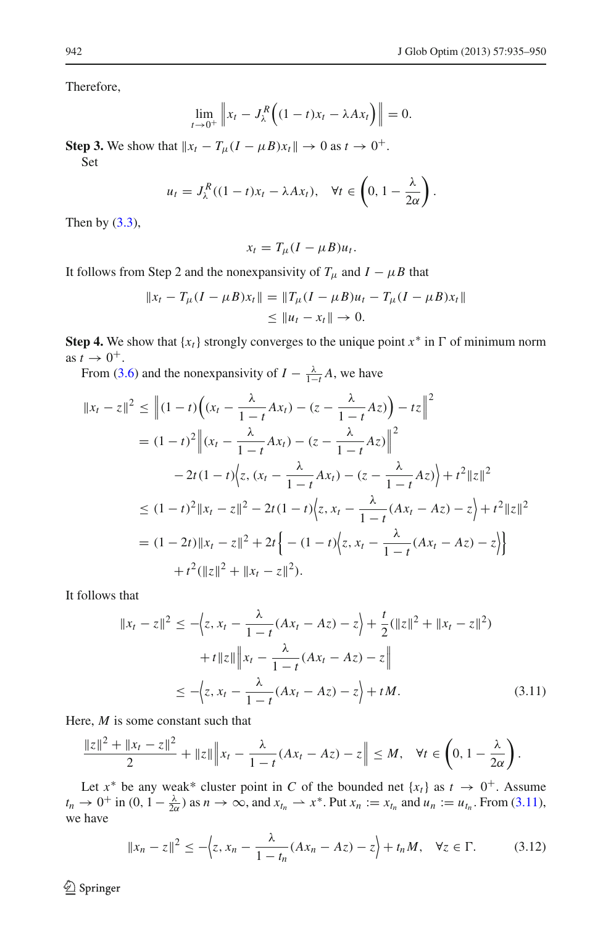Therefore,

$$
\lim_{t \to 0^+} \left\| x_t - J_{\lambda}^R \left( (1 - t) x_t - \lambda A x_t \right) \right\| = 0.
$$

**Step 3.** We show that  $||x_t - T_\mu(I - \mu B)x_t|| \to 0$  as  $t \to 0^+$ . Set

$$
u_t = J_\lambda^R((1-t)x_t - \lambda Ax_t), \quad \forall t \in \left(0, 1 - \frac{\lambda}{2\alpha}\right).
$$

Then by  $(3.3)$ ,

$$
x_t = T_\mu (I - \mu B) u_t.
$$

It follows from Step 2 and the nonexpansivity of  $T_\mu$  and  $I - \mu B$  that

$$
||x_t - T_\mu (I - \mu B)x_t|| = ||T_\mu (I - \mu B)u_t - T_\mu (I - \mu B)x_t||
$$
  
\n
$$
\le ||u_t - x_t|| \to 0.
$$

**Step 4.** We show that  $\{x_t\}$  strongly converges to the unique point  $x^*$  in  $\Gamma$  of minimum norm as  $t \rightarrow 0^+$ .

From [\(3.6\)](#page-5-0) and the nonexpansivity of  $I - \frac{\lambda}{1-t}A$ , we have

$$
||x_t - z||^2 \le ||(1-t)\left((x_t - \frac{\lambda}{1-t}Ax_t) - (z - \frac{\lambda}{1-t}Az)\right) - tz||^2
$$
  
\n
$$
= (1-t)^2 ||(x_t - \frac{\lambda}{1-t}Ax_t) - (z - \frac{\lambda}{1-t}Az)||^2
$$
  
\n
$$
- 2t(1-t)\Big\{z, (x_t - \frac{\lambda}{1-t}Ax_t) - (z - \frac{\lambda}{1-t}Az)\Big\} + t^2 ||z||^2
$$
  
\n
$$
\le (1-t)^2 ||x_t - z||^2 - 2t(1-t)\Big\{z, x_t - \frac{\lambda}{1-t}(Ax_t - Az) - z\Big\} + t^2 ||z||^2
$$
  
\n
$$
= (1-2t)||x_t - z||^2 + 2t\Big\{ - (1-t)\Big\{z, x_t - \frac{\lambda}{1-t}(Ax_t - Az) - z\Big\} + t^2 ||z||^2
$$
  
\n
$$
+ t^2 (||z||^2 + ||x_t - z||^2).
$$

<span id="page-7-0"></span>It follows that

$$
||x_t - z||^2 \le -\left\langle z, x_t - \frac{\lambda}{1 - t}(Ax_t - Az) - z \right\rangle + \frac{t}{2} (||z||^2 + ||x_t - z||^2) + t ||z|| ||x_t - \frac{\lambda}{1 - t}(Ax_t - Az) - z|| \le -\left\langle z, x_t - \frac{\lambda}{1 - t}(Ax_t - Az) - z \right\rangle + tM.
$$
 (3.11)

Here, *M* is some constant such that

$$
\frac{\|z\|^2 + \|x_t - z\|^2}{2} + \|z\| \Big\| x_t - \frac{\lambda}{1-t} (Ax_t - Az) - z \Big\| \le M, \quad \forall t \in \left(0, 1 - \frac{\lambda}{2\alpha}\right).
$$

Let  $x^*$  be any weak\* cluster point in *C* of the bounded net  $\{x_t\}$  as  $t \to 0^+$ . Assume  $t_n \to 0^+$  in  $(0, 1 - \frac{\lambda}{2\alpha})$  as  $n \to \infty$ , and  $x_{t_n} \to x^*$ . Put  $x_n := x_{t_n}$  and  $u_n := u_{t_n}$ . From [\(3.11\)](#page-7-0), we have

$$
||x_n - z||^2 \le -\left\langle z, x_n - \frac{\lambda}{1 - t_n}(Ax_n - Az) - z \right\rangle + t_n M, \quad \forall z \in \Gamma.
$$
 (3.12)

<span id="page-7-1"></span> $\hat{Z}$  Springer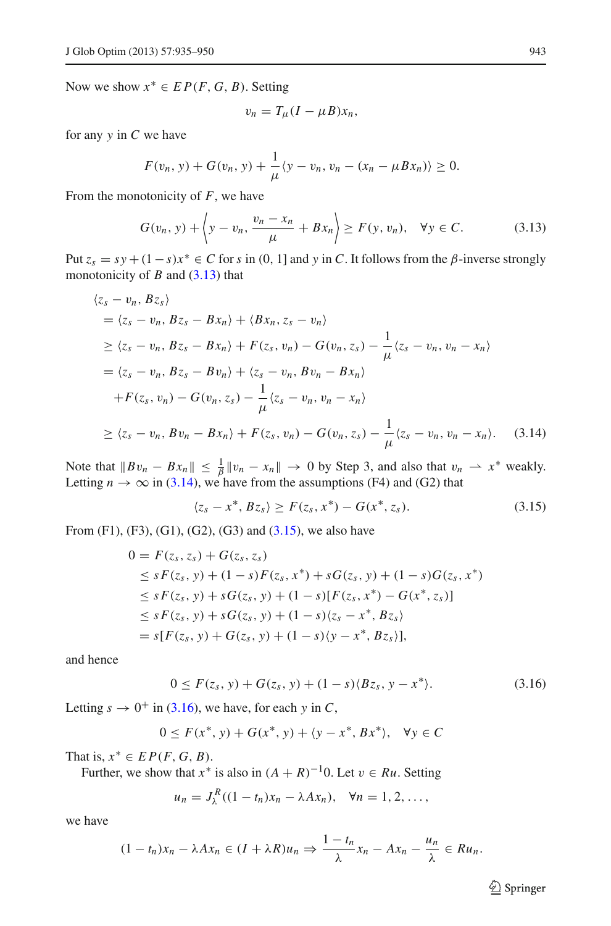Now we show  $x^* \in EP(F, G, B)$ . Setting

$$
v_n = T_\mu (I - \mu B) x_n,
$$

for any *y* in *C* we have

$$
F(v_n, y) + G(v_n, y) + \frac{1}{\mu} \langle y - v_n, v_n - (x_n - \mu B x_n) \rangle \ge 0.
$$

From the monotonicity of *F*, we have

$$
G(v_n, y) + \left\langle y - v_n, \frac{v_n - x_n}{\mu} + Bx_n \right\rangle \ge F(y, v_n), \quad \forall y \in C.
$$
 (3.13)

<span id="page-8-1"></span><span id="page-8-0"></span>Put  $z_s = sy + (1-s)x^* \in C$  for *s* in (0, 1] and *y* in *C*. It follows from the  $\beta$ -inverse strongly monotonicity of *B* and [\(3.13\)](#page-8-0) that

$$
\langle z_{s} - v_{n}, B z_{s} \rangle
$$
  
=  $\langle z_{s} - v_{n}, B z_{s} - B x_{n} \rangle + \langle B x_{n}, z_{s} - v_{n} \rangle$   
 $\geq \langle z_{s} - v_{n}, B z_{s} - B x_{n} \rangle + F(z_{s}, v_{n}) - G(v_{n}, z_{s}) - \frac{1}{\mu} \langle z_{s} - v_{n}, v_{n} - x_{n} \rangle$   
=  $\langle z_{s} - v_{n}, B z_{s} - B v_{n} \rangle + \langle z_{s} - v_{n}, B v_{n} - B x_{n} \rangle$   
+  $F(z_{s}, v_{n}) - G(v_{n}, z_{s}) - \frac{1}{\mu} \langle z_{s} - v_{n}, v_{n} - x_{n} \rangle$   
 $\geq \langle z_{s} - v_{n}, B v_{n} - B x_{n} \rangle + F(z_{s}, v_{n}) - G(v_{n}, z_{s}) - \frac{1}{\mu} \langle z_{s} - v_{n}, v_{n} - x_{n} \rangle.$  (3.14)

Note that  $||Bv_n - Bx_n|| \le \frac{1}{\beta} ||v_n - x_n|| \to 0$  by Step 3, and also that  $v_n \to x^*$  weakly. Letting  $n \to \infty$  in [\(3.14\)](#page-8-1), we have from the assumptions (F4) and (G2) that

$$
\langle z_s - x^*, Bz_s \rangle \ge F(z_s, x^*) - G(x^*, z_s). \tag{3.15}
$$

<span id="page-8-2"></span>From (F1), (F3), (G1), (G2), (G3) and [\(3.15\)](#page-8-2), we also have

$$
0 = F(z_s, z_s) + G(z_s, z_s)
$$
  
\n
$$
\leq sF(z_s, y) + (1 - s)F(z_s, x^*) + sG(z_s, y) + (1 - s)G(z_s, x^*)
$$
  
\n
$$
\leq sF(z_s, y) + sG(z_s, y) + (1 - s)[F(z_s, x^*) - G(x^*, z_s)]
$$
  
\n
$$
\leq sF(z_s, y) + sG(z_s, y) + (1 - s)(z_s - x^*, Bz_s)
$$
  
\n
$$
= s[F(z_s, y) + G(z_s, y) + (1 - s)(y - x^*, Bz_s)],
$$

and hence

$$
0 \le F(z_s, y) + G(z_s, y) + (1 - s)(Bz_s, y - x^*).
$$
 (3.16)

<span id="page-8-3"></span>Letting  $s \to 0^+$  in [\(3.16\)](#page-8-3), we have, for each *y* in *C*,

$$
0 \le F(x^*, y) + G(x^*, y) + \langle y - x^*, Bx^* \rangle, \quad \forall y \in C
$$

That is,  $x^* \in EP(F, G, B)$ .

Further, we show that  $x^*$  is also in  $(A + R)^{-1}0$ . Let  $v \in Ru$ . Setting

$$
u_n = J^R_\lambda((1 - t_n)x_n - \lambda Ax_n), \quad \forall n = 1, 2, \dots,
$$

we have

$$
(1-t_n)x_n - \lambda Ax_n \in (I+\lambda R)u_n \Rightarrow \frac{1-t_n}{\lambda}x_n - Ax_n - \frac{u_n}{\lambda} \in Ru_n.
$$

<sup>2</sup> Springer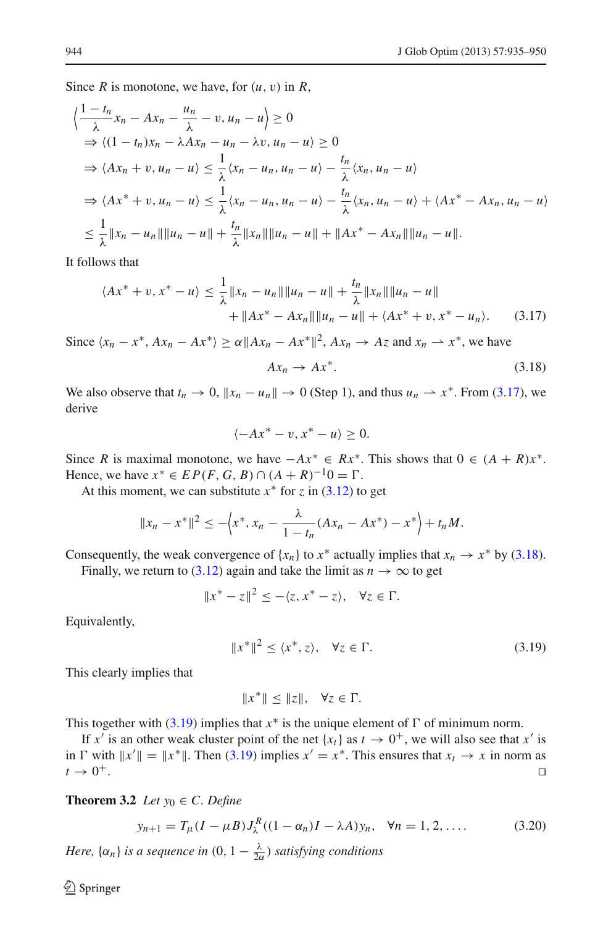Since *R* is monotone, we have, for  $(u, v)$  in *R*,

$$
\begin{aligned}\n\left\{\frac{1-t_n}{\lambda}x_n - Ax_n - \frac{u_n}{\lambda} - v, u_n - u\right\} &\geq 0 \\
\Rightarrow \left\langle (1-t_n)x_n - \lambda Ax_n - u_n - \lambda v, u_n - u \right\rangle &\geq 0 \\
\Rightarrow \left\langle Ax_n + v, u_n - u \right\rangle &\leq \frac{1}{\lambda} \left\langle x_n - u_n, u_n - u \right\rangle - \frac{t_n}{\lambda} \left\langle x_n, u_n - u \right\rangle \\
\Rightarrow \left\langle Ax^* + v, u_n - u \right\rangle &\leq \frac{1}{\lambda} \left\langle x_n - u_n, u_n - u \right\rangle - \frac{t_n}{\lambda} \left\langle x_n, u_n - u \right\rangle + \left\langle Ax^* - Ax_n, u_n - u \right\rangle \\
\leq \frac{1}{\lambda} \|x_n - u_n\| \|u_n - u\| + \frac{t_n}{\lambda} \|x_n\| \|u_n - u\| + \|Ax^* - Ax_n\| \|u_n - u\|. \n\end{aligned}
$$

<span id="page-9-0"></span>It follows that

$$
\langle Ax^* + v, x^* - u \rangle \le \frac{1}{\lambda} \|x_n - u_n\| \|u_n - u\| + \frac{t_n}{\lambda} \|x_n\| \|u_n - u\|
$$
  
+  $||Ax^* - Ax_n|| \|u_n - u\| + \langle Ax^* + v, x^* - u_n \rangle.$  (3.17)

Since  $\langle x_n - x^*, Ax_n - Ax^* \rangle \ge \alpha \|Ax_n - Ax^*\|^2$ ,  $Ax_n \to Az$  and  $x_n \to x^*$ , we have

$$
Ax_n \to Ax^*.\tag{3.18}
$$

We also observe that  $t_n \to 0$ ,  $||x_n - u_n|| \to 0$  (Step 1), and thus  $u_n \to x^*$ . From [\(3.17\)](#page-9-0), we derive

<span id="page-9-1"></span>
$$
\langle -Ax^* - v, x^* - u \rangle \ge 0.
$$

Since *R* is maximal monotone, we have  $-Ax^* \in Rx^*$ . This shows that  $0 \in (A + R)x^*$ . Hence, we have  $x^*$  ∈  $EP(F, G, B)$  ∩  $(A + R)^{-1}0 = \Gamma$ .

At this moment, we can substitute  $x^*$  for  $\zeta$  in [\(3.12\)](#page-7-1) to get

$$
||x_n - x^*||^2 \le -\left\langle x^*, x_n - \frac{\lambda}{1 - t_n}(Ax_n - Ax^*) - x^* \right\rangle + t_n M.
$$

Consequently, the weak convergence of  $\{x_n\}$  to  $x^*$  actually implies that  $x_n \to x^*$  by [\(3.18\)](#page-9-1).

Finally, we return to [\(3.12\)](#page-7-1) again and take the limit as  $n \to \infty$  to get

$$
||x^* - z||^2 \le -\langle z, x^* - z \rangle, \quad \forall z \in \Gamma.
$$

<span id="page-9-2"></span>Equivalently,

$$
||x^*||^2 \le \langle x^*, z \rangle, \quad \forall z \in \Gamma.
$$
 (3.19)

This clearly implies that

$$
||x^*|| \le ||z||, \quad \forall z \in \Gamma.
$$

This together with [\(3.19\)](#page-9-2) implies that  $x^*$  is the unique element of  $\Gamma$  of minimum norm.

If *x'* is an other weak cluster point of the net  $\{x_t\}$  as  $t \to 0^+$ , we will also see that *x'* is in  $\Gamma$  with  $||x'|| = ||x^*||$ . Then [\(3.19\)](#page-9-2) implies  $x' = x^*$ . This ensures that  $x_t \to x$  in norm as  $t \to 0^+$ .

<span id="page-9-4"></span>**Theorem 3.2** *Let*  $y_0 \in C$ *. Define* 

$$
y_{n+1} = T_{\mu}(I - \mu B)J_{\lambda}^{R}((1 - \alpha_{n})I - \lambda A)y_{n}, \quad \forall n = 1, 2, .... \tag{3.20}
$$

<span id="page-9-3"></span>*Here,*  $\{\alpha_n\}$  *is a sequence in*  $(0, 1 - \frac{\lambda}{2\alpha})$  *satisfying conditions*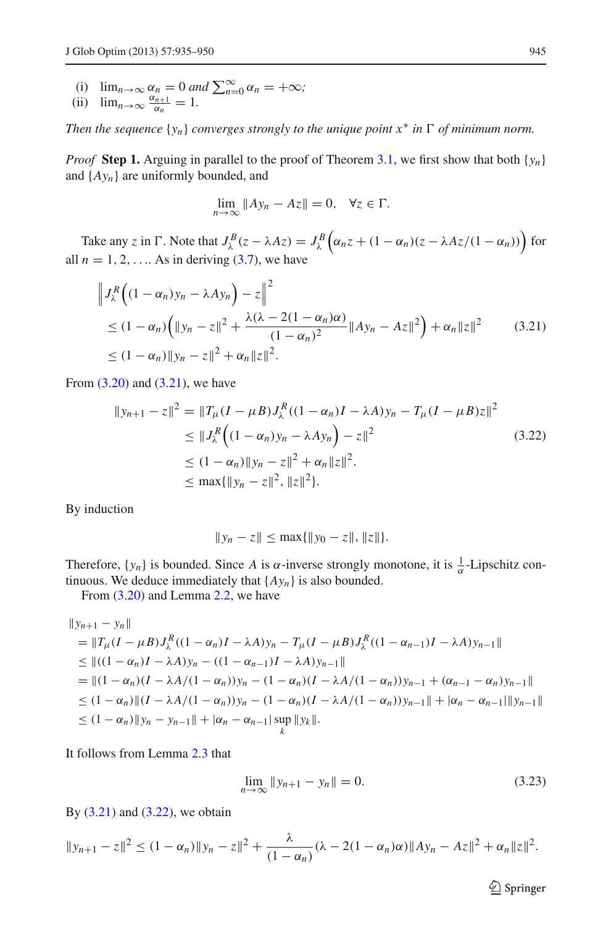- (i)  $\lim_{n \to \infty} \alpha_n = 0$  and  $\sum_{n=0}^{\infty} \alpha_n = +\infty$ ;
- (ii)  $\lim_{n\to\infty} \frac{\alpha_{n+1}}{\alpha_n} = 1.$

*Then the sequence*  $\{y_n\}$  *converges strongly to the unique point*  $x^*$  *in*  $\Gamma$  *of minimum norm.* 

*Proof* **Step 1.** Arguing in parallel to the proof of Theorem [3.1,](#page-4-2) we first show that both  $\{y_n\}$ and {*Ayn*} are uniformly bounded, and

$$
\lim_{n \to \infty} \|Ay_n - Az\| = 0, \quad \forall z \in \Gamma.
$$

<span id="page-10-0"></span>Take any *z* in  $\Gamma$ . Note that  $J_{\lambda}^{B}(z - \lambda Az) = J_{\lambda}^{B}(\alpha_n z + (1 - \alpha_n)(z - \lambda Az/(1 - \alpha_n)))$  for all  $n = 1, 2, \ldots$  As in deriving [\(3.7\)](#page-5-0), we have

$$
\|J_{\lambda}^{R}\left((1-\alpha_{n})y_{n}-\lambda A y_{n}\right)-z\|^{2}\leq (1-\alpha_{n})\left(\|y_{n}-z\|^{2}+\frac{\lambda(\lambda-2(1-\alpha_{n})\alpha)}{(1-\alpha_{n})^{2}}\|A y_{n}-A z\|^{2}\right)+\alpha_{n}\|z\|^{2}
$$
(3.21)  

$$
\leq (1-\alpha_{n})\|y_{n}-z\|^{2}+\alpha_{n}\|z\|^{2}.
$$

<span id="page-10-1"></span>From  $(3.20)$  and  $(3.21)$ , we have

$$
||y_{n+1} - z||^2 = ||T_{\mu}(I - \mu B)J_{\lambda}^{R}((1 - \alpha_{n})I - \lambda A)y_{n} - T_{\mu}(I - \mu B)z||^2
$$
  
\n
$$
\leq ||J_{\lambda}^{R}((1 - \alpha_{n})y_{n} - \lambda Ay_{n}) - z||^2
$$
  
\n
$$
\leq (1 - \alpha_{n})||y_{n} - z||^2 + \alpha_{n}||z||^2.
$$
  
\n
$$
\leq \max{\{||y_{n} - z||^{2}, ||z||^{2}\}}.
$$
\n(3.22)

By induction

$$
||y_n - z|| \le \max{||y_0 - z||, ||z||}.
$$

Therefore,  $\{y_n\}$  is bounded. Since *A* is  $\alpha$ -inverse strongly monotone, it is  $\frac{1}{\alpha}$ -Lipschitz continuous. We deduce immediately that  ${A y_n}$  is also bounded.

From [\(3.20\)](#page-9-3) and Lemma [2.2,](#page-3-1) we have

$$
\|y_{n+1} - y_n\|
$$
  
\n
$$
= \|T_\mu (I - \mu B) J_\lambda^R ((1 - \alpha_n)I - \lambda A) y_n - T_\mu (I - \mu B) J_\lambda^R ((1 - \alpha_{n-1})I - \lambda A) y_{n-1}\|
$$
  
\n
$$
\leq ||((1 - \alpha_n)I - \lambda A) y_n - ((1 - \alpha_{n-1})I - \lambda A) y_{n-1}||
$$
  
\n
$$
= ||(1 - \alpha_n)(I - \lambda A/(1 - \alpha_n)) y_n - (1 - \alpha_n)(I - \lambda A/(1 - \alpha_n)) y_{n-1} + (\alpha_{n-1} - \alpha_n) y_{n-1}||
$$
  
\n
$$
\leq (1 - \alpha_n) ||(I - \lambda A/(1 - \alpha_n)) y_n - (1 - \alpha_n)(I - \lambda A/(1 - \alpha_n)) y_{n-1}|| + |\alpha_n - \alpha_{n-1}||y_{n-1}||
$$
  
\n
$$
\leq (1 - \alpha_n) ||y_n - y_{n-1}|| + |\alpha_n - \alpha_{n-1}| \sup_k ||y_k||.
$$

<span id="page-10-2"></span>It follows from Lemma [2.3](#page-3-2) that

$$
\lim_{n \to \infty} \|y_{n+1} - y_n\| = 0. \tag{3.23}
$$

By  $(3.21)$  and  $(3.22)$ , we obtain

$$
||y_{n+1}-z||^2 \le (1-\alpha_n)||y_n-z||^2 + \frac{\lambda}{(1-\alpha_n)}(\lambda - 2(1-\alpha_n)\alpha)||Ay_n-Az||^2 + \alpha_n||z||^2.
$$

 $\hat{\mathfrak{D}}$  Springer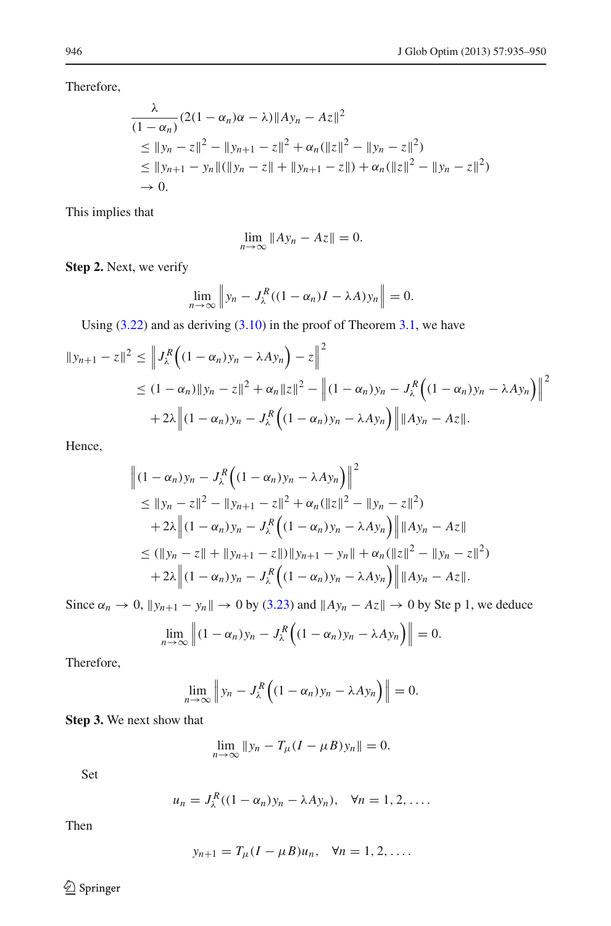Therefore,

$$
\frac{\lambda}{(1 - \alpha_n)} (2(1 - \alpha_n)\alpha - \lambda) \|Ay_n - Az\|^2
$$
\n
$$
\le \|y_n - z\|^2 - \|y_{n+1} - z\|^2 + \alpha_n (\|z\|^2 - \|y_n - z\|^2)
$$
\n
$$
\le \|y_{n+1} - y_n\| (\|y_n - z\| + \|y_{n+1} - z\|) + \alpha_n (\|z\|^2 - \|y_n - z\|^2)
$$
\n
$$
\to 0.
$$

This implies that

$$
\lim_{n\to\infty}||Ay_n - Az|| = 0.
$$

**Step 2.** Next, we verify

$$
\lim_{n \to \infty} \left\| y_n - J_{\lambda}^R ((1 - \alpha_n)I - \lambda A) y_n \right\| = 0.
$$

Using  $(3.22)$  and as deriving  $(3.10)$  in the proof of Theorem [3.1,](#page-4-2) we have

$$
||y_{n+1} - z||^2 \le ||J_{\lambda}^R ((1 - \alpha_n) y_n - \lambda A y_n) - z||^2
$$
  
\n
$$
\le (1 - \alpha_n) ||y_n - z||^2 + \alpha_n ||z||^2 - ||(1 - \alpha_n) y_n - J_{\lambda}^R ((1 - \alpha_n) y_n - \lambda A y_n) ||^2
$$
  
\n
$$
+ 2\lambda ||(1 - \alpha_n) y_n - J_{\lambda}^R ((1 - \alpha_n) y_n - \lambda A y_n) || ||Ay_n - Az||.
$$

Hence,

$$
\begin{aligned}\n\left\| (1 - \alpha_n) y_n - J_{\lambda}^R \left( (1 - \alpha_n) y_n - \lambda A y_n \right) \right\|^2 \\
&\le \| y_n - z \|^2 - \| y_{n+1} - z \|^2 + \alpha_n (\| z \|^2 - \| y_n - z \|^2) \\
&\quad + 2\lambda \left\| (1 - \alpha_n) y_n - J_{\lambda}^R \left( (1 - \alpha_n) y_n - \lambda A y_n \right) \right\| \| Ay_n - Az \| \\
&\le (\| y_n - z \| + \| y_{n+1} - z \|) \| y_{n+1} - y_n \| + \alpha_n (\| z \|^2 - \| y_n - z \|^2) \\
&\quad + 2\lambda \left\| (1 - \alpha_n) y_n - J_{\lambda}^R \left( (1 - \alpha_n) y_n - \lambda A y_n \right) \right\| \| Ay_n - Az \|.\n\end{aligned}
$$

Since  $\alpha_n \to 0$ ,  $||y_{n+1} - y_n|| \to 0$  by [\(3.23\)](#page-10-2) and  $||Ay_n - Az|| \to 0$  by Ste p 1, we deduce

$$
\lim_{n\to\infty}\left\|(1-\alpha_n)y_n-J_{\lambda}^R\Big((1-\alpha_n)y_n-\lambda Ay_n\Big)\right\|=0.
$$

Therefore,

$$
\lim_{n\to\infty}\left\|y_n-J_{\lambda}^R\Big((1-\alpha_n)y_n-\lambda Ay_n\Big)\right\|=0.
$$

**Step 3.** We next show that

$$
\lim_{n\to\infty}||y_n-T_\mu(I-\mu B)y_n||=0.
$$

Set

$$
u_n = J_\lambda^R((1-\alpha_n)y_n - \lambda Ay_n), \quad \forall n = 1, 2, \ldots.
$$

Then

$$
y_{n+1} = T_{\mu}(I - \mu B)u_n, \quad \forall n = 1, 2, ....
$$

<sup>2</sup> Springer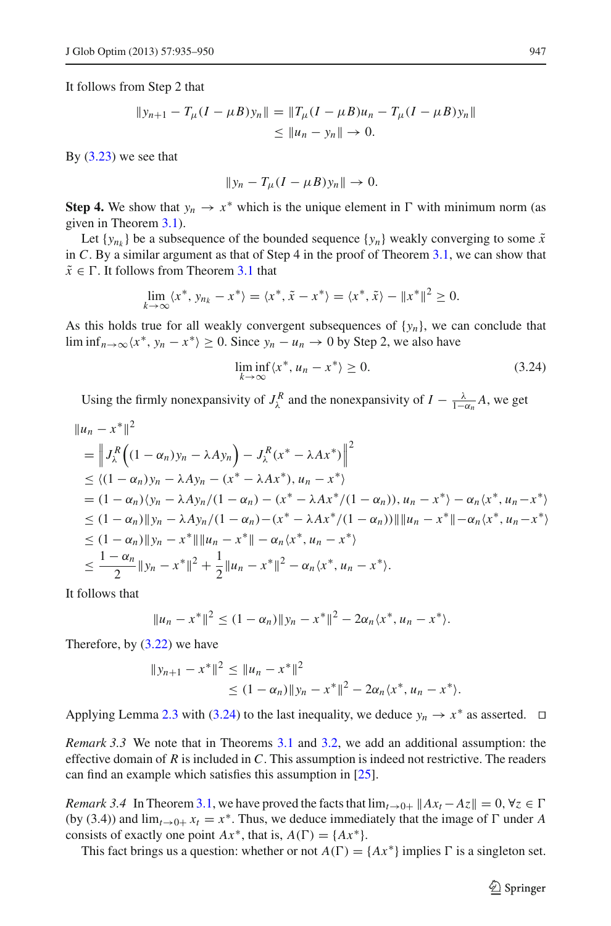It follows from Step 2 that

$$
||y_{n+1} - T_{\mu}(I - \mu B)y_n|| = ||T_{\mu}(I - \mu B)u_n - T_{\mu}(I - \mu B)y_n||
$$
  
\n
$$
\leq ||u_n - y_n|| \to 0.
$$

By  $(3.23)$  we see that

$$
||y_n-T_\mu(I-\mu B)y_n||\to 0.
$$

**Step 4.** We show that  $y_n \to x^*$  which is the unique element in  $\Gamma$  with minimum norm (as given in Theorem [3.1\)](#page-4-2).

Let  $\{y_{n_k}\}$  be a subsequence of the bounded sequence  $\{y_n\}$  weakly converging to some  $\tilde{x}$ in *C*. By a similar argument as that of Step 4 in the proof of Theorem [3.1,](#page-4-2) we can show that  $\tilde{x} \in \Gamma$ . It follows from Theorem [3.1](#page-4-2) that

$$
\lim_{k \to \infty} \langle x^*, y_{n_k} - x^* \rangle = \langle x^*, \tilde{x} - x^* \rangle = \langle x^*, \tilde{x} \rangle - \|x^*\|^2 \ge 0.
$$

As this holds true for all weakly convergent subsequences of  ${y_n}$ , we can conclude that lim inf<sub>*n*→∞</sub> $\langle x^*, y_n - x^* \rangle \ge 0$ . Since  $y_n - u_n \to 0$  by Step 2, we also have

$$
\liminf_{k \to \infty} \langle x^*, u_n - x^* \rangle \ge 0. \tag{3.24}
$$

<span id="page-12-0"></span>Using the firmly nonexpansivity of  $J_{\lambda}^{R}$  and the nonexpansivity of  $I - \frac{\lambda}{1 - \alpha_n} A$ , we get

$$
||u_n - x^*||^2
$$
  
=  $\left\| J_{\lambda}^R \left( (1 - \alpha_n) y_n - \lambda A y_n \right) - J_{\lambda}^R (x^* - \lambda A x^*) \right\|^2$   
 $\leq \langle (1 - \alpha_n) y_n - \lambda A y_n - (x^* - \lambda A x^*) , u_n - x^* \rangle$   
=  $(1 - \alpha_n) \langle y_n - \lambda A y_n / (1 - \alpha_n) - (x^* - \lambda A x^* / (1 - \alpha_n)) , u_n - x^* \rangle - \alpha_n \langle x^* , u_n - x^* \rangle$   
 $\leq (1 - \alpha_n) ||y_n - \lambda A y_n / (1 - \alpha_n) - (x^* - \lambda A x^* / (1 - \alpha_n)) || ||u_n - x^* || - \alpha_n \langle x^* , u_n - x^* \rangle$   
 $\leq (1 - \alpha_n) ||y_n - x^* || ||u_n - x^* || - \alpha_n \langle x^* , u_n - x^* \rangle$   
 $\leq \frac{1 - \alpha_n}{2} ||y_n - x^*||^2 + \frac{1}{2} ||u_n - x^*||^2 - \alpha_n \langle x^* , u_n - x^* \rangle.$ 

It follows that

$$
||u_n - x^*||^2 \le (1 - \alpha_n) ||y_n - x^*||^2 - 2\alpha_n \langle x^*, u_n - x^* \rangle.
$$

Therefore, by [\(3.22\)](#page-10-1) we have

$$
||y_{n+1} - x^*||^2 \le ||u_n - x^*||^2
$$
  
\n
$$
\le (1 - \alpha_n) ||y_n - x^*||^2 - 2\alpha_n \langle x^*, u_n - x^* \rangle.
$$

Applying Lemma [2.3](#page-3-2) with [\(3.24\)](#page-12-0) to the last inequality, we deduce  $y_n \to x^*$  as asserted.  $\Box$ 

*Remark 3.3* We note that in Theorems [3.1](#page-4-2) and [3.2,](#page-9-4) we add an additional assumption: the effective domain of *R* is included in *C*. This assumption is indeed not restrictive. The readers can find an example which satisfies this assumption in [\[25](#page-14-25)].

*Remark 3.4* In Theorem [3.1,](#page-4-2) we have proved the facts that  $\lim_{t\to 0+} ||Ax_t - Az|| = 0$ ,  $\forall z \in \Gamma$ (by (3.4)) and  $\lim_{t\to 0+} x_t = x^*$ . Thus, we deduce immediately that the image of  $\Gamma$  under *A* consists of exactly one point  $Ax^*$ , that is,  $A(\Gamma) = \{Ax^*\}.$ 

This fact brings us a question: whether or not  $A(\Gamma) = \{Ax^*\}\$ implies  $\Gamma$  is a singleton set.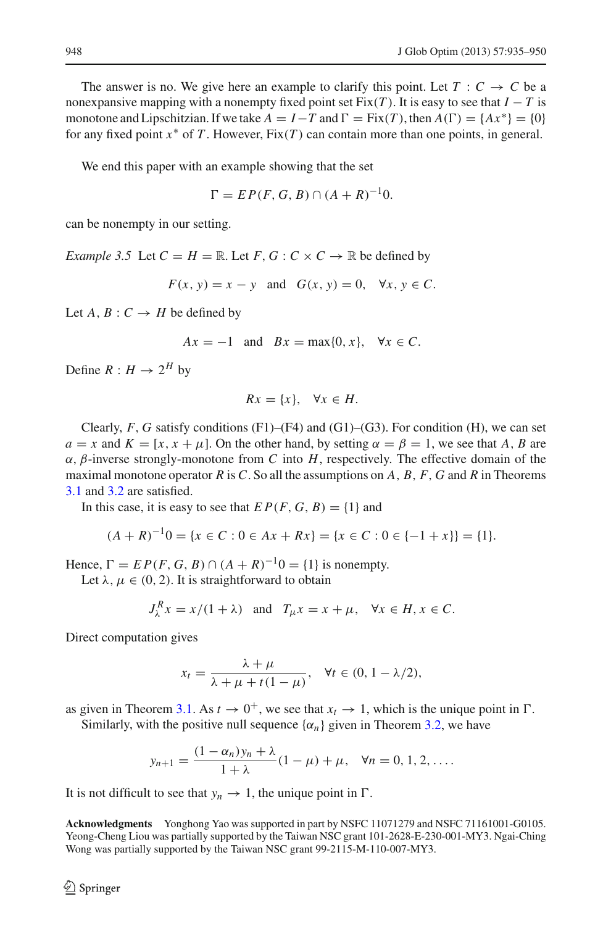The answer is no. We give here an example to clarify this point. Let  $T : C \to C$  be a nonexpansive mapping with a nonempty fixed point set  $Fix(T)$ . It is easy to see that  $I - T$  is monotone and Lipschitzian. If we take  $A = I - T$  and  $\Gamma = \text{Fix}(T)$ , then  $A(\Gamma) = \{Ax^*\} = \{0\}$ for any fixed point *x*<sup>∗</sup> of *T* . However, Fix(*T* ) can contain more than one points, in general.

We end this paper with an example showing that the set

$$
\Gamma = EP(F, G, B) \cap (A + R)^{-1}0.
$$

can be nonempty in our setting.

*Example 3.5* Let  $C = H = \mathbb{R}$ . Let  $F, G : C \times C \rightarrow \mathbb{R}$  be defined by

 $F(x, y) = x - y$  and  $G(x, y) = 0$ ,  $\forall x, y \in C$ .

Let  $A, B: C \rightarrow H$  be defined by

$$
Ax = -1 \quad \text{and} \quad Bx = \max\{0, x\}, \quad \forall x \in C.
$$

Define  $R: H \to 2^H$  by

$$
Rx = \{x\}, \quad \forall x \in H.
$$

Clearly,  $F$ ,  $G$  satisfy conditions  $(F1)$ – $(F4)$  and  $(G1)$ – $(G3)$ . For condition  $(H)$ , we can set *a* = *x* and  $K = [x, x + \mu]$ . On the other hand, by setting  $\alpha = \beta = 1$ , we see that *A*, *B* are  $\alpha$ ,  $\beta$ -inverse strongly-monotone from *C* into *H*, respectively. The effective domain of the maximal monotone operator *R* is *C*. So all the assumptions on *A*, *B*, *F*, *G* and *R* in Theorems [3.1](#page-4-2) and [3.2](#page-9-4) are satisfied.

In this case, it is easy to see that  $EP(F, G, B) = \{1\}$  and

$$
(A + R)^{-1}0 = \{x \in C : 0 \in Ax + Rx\} = \{x \in C : 0 \in \{-1 + x\}\} = \{1\}.
$$

Hence,  $\Gamma = EP(F, G, B) \cap (A + R)^{-1}0 = \{1\}$  is nonempty.

Let  $\lambda, \mu \in (0, 2)$ . It is straightforward to obtain

$$
J_{\lambda}^{R} x = x/(1+\lambda) \quad \text{and} \quad T_{\mu} x = x + \mu, \quad \forall x \in H, x \in C.
$$

Direct computation gives

$$
x_t = \frac{\lambda + \mu}{\lambda + \mu + t(1 - \mu)}, \quad \forall t \in (0, 1 - \lambda/2),
$$

as given in Theorem [3.1.](#page-4-2) As  $t \to 0^+$ , we see that  $x_t \to 1$ , which is the unique point in  $\Gamma$ . Similarly, with the positive null sequence  $\{\alpha_n\}$  given in Theorem [3.2,](#page-9-4) we have

$$
y_{n+1} = \frac{(1 - \alpha_n)y_n + \lambda}{1 + \lambda}(1 - \mu) + \mu, \quad \forall n = 0, 1, 2, \dots
$$

It is not difficult to see that  $y_n \to 1$ , the unique point in  $\Gamma$ .

**Acknowledgments** Yonghong Yao was supported in part by NSFC 11071279 and NSFC 71161001-G0105. Yeong-Cheng Liou was partially supported by the Taiwan NSC grant 101-2628-E-230-001-MY3. Ngai-Ching Wong was partially supported by the Taiwan NSC grant 99-2115-M-110-007-MY3.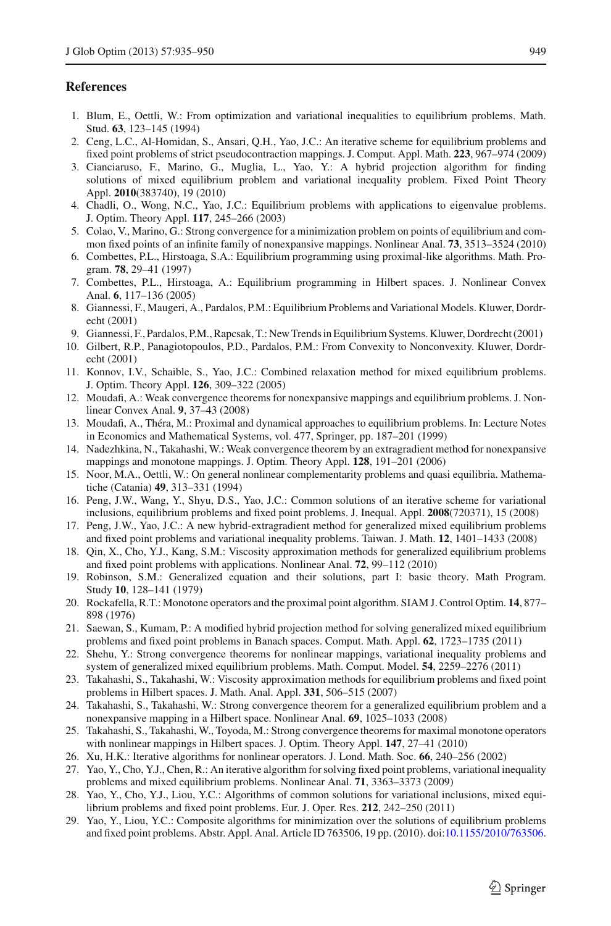### <span id="page-14-0"></span>**References**

- 1. Blum, E., Oettli, W.: From optimization and variational inequalities to equilibrium problems. Math. Stud. **63**, 123–145 (1994)
- <span id="page-14-2"></span>2. Ceng, L.C., Al-Homidan, S., Ansari, Q.H., Yao, J.C.: An iterative scheme for equilibrium problems and fixed point problems of strict pseudocontraction mappings. J. Comput. Appl. Math. **223**, 967–974 (2009)
- <span id="page-14-18"></span>3. Cianciaruso, F., Marino, G., Muglia, L., Yao, Y.: A hybrid projection algorithm for finding solutions of mixed equilibrium problem and variational inequality problem. Fixed Point Theory Appl. **2010**(383740), 19 (2010)
- <span id="page-14-3"></span>4. Chadli, O., Wong, N.C., Yao, J.C.: Equilibrium problems with applications to eigenvalue problems. J. Optim. Theory Appl. **117**, 245–266 (2003)
- <span id="page-14-4"></span>5. Colao, V., Marino, G.: Strong convergence for a minimization problem on points of equilibrium and common fixed points of an infinite family of nonexpansive mappings. Nonlinear Anal. **73**, 3513–3524 (2010)
- <span id="page-14-16"></span>6. Combettes, P.L., Hirstoaga, S.A.: Equilibrium programming using proximal-like algorithms. Math. Program. **78**, 29–41 (1997)
- <span id="page-14-5"></span>7. Combettes, P.L., Hirstoaga, A.: Equilibrium programming in Hilbert spaces. J. Nonlinear Convex Anal. **6**, 117–136 (2005)
- <span id="page-14-20"></span>8. Giannessi, F., Maugeri, A., Pardalos, P.M.: Equilibrium Problems and Variational Models. Kluwer, Dordrecht (2001)
- 9. Giannessi, F., Pardalos, P.M., Rapcsak, T.: New Trends in Equilibrium Systems. Kluwer, Dordrecht (2001)
- <span id="page-14-21"></span>10. Gilbert, R.P., Panagiotopoulos, P.D., Pardalos, P.M.: From Convexity to Nonconvexity. Kluwer, Dordrecht (2001)
- <span id="page-14-6"></span>11. Konnov, I.V., Schaible, S., Yao, J.C.: Combined relaxation method for mixed equilibrium problems. J. Optim. Theory Appl. **126**, 309–322 (2005)
- 12. Moudafi, A.: Weak convergence theorems for nonexpansive mappings and equilibrium problems. J. Nonlinear Convex Anal. **9**, 37–43 (2008)
- <span id="page-14-7"></span>13. Moudafi, A., Théra, M.: Proximal and dynamical approaches to equilibrium problems. In: Lecture Notes in Economics and Mathematical Systems, vol. 477, Springer, pp. 187–201 (1999)
- <span id="page-14-23"></span>14. Nadezhkina, N., Takahashi, W.: Weak convergence theorem by an extragradient method for nonexpansive mappings and monotone mappings. J. Optim. Theory Appl. **128**, 191–201 (2006)
- <span id="page-14-1"></span>15. Noor, M.A., Oettli, W.: On general nonlinear complementarity problems and quasi equilibria. Mathematiche (Catania) **49**, 313–331 (1994)
- <span id="page-14-19"></span>16. Peng, J.W., Wang, Y., Shyu, D.S., Yao, J.C.: Common solutions of an iterative scheme for variational inclusions, equilibrium problems and fixed point problems. J. Inequal. Appl. **2008**(720371), 15 (2008)
- <span id="page-14-8"></span>17. Peng, J.W., Yao, J.C.: A new hybrid-extragradient method for generalized mixed equilibrium problems and fixed point problems and variational inequality problems. Taiwan. J. Math. **12**, 1401–1433 (2008)
- <span id="page-14-9"></span>18. Qin, X., Cho, Y.J., Kang, S.M.: Viscosity approximation methods for generalized equilibrium problems and fixed point problems with applications. Nonlinear Anal. **72**, 99–112 (2010)
- <span id="page-14-14"></span>19. Robinson, S.M.: Generalized equation and their solutions, part I: basic theory. Math Program. Study **10**, 128–141 (1979)
- <span id="page-14-15"></span>20. Rockafella, R.T.: Monotone operators and the proximal point algorithm. SIAM J. Control Optim. **14**, 877– 898 (1976)
- <span id="page-14-10"></span>21. Saewan, S., Kumam, P.: A modified hybrid projection method for solving generalized mixed equilibrium problems and fixed point problems in Banach spaces. Comput. Math. Appl. **62**, 1723–1735 (2011)
- <span id="page-14-22"></span>22. Shehu, Y.: Strong convergence theorems for nonlinear mappings, variational inequality problems and system of generalized mixed equilibrium problems. Math. Comput. Model. **54**, 2259–2276 (2011)
- <span id="page-14-17"></span>23. Takahashi, S., Takahashi, W.: Viscosity approximation methods for equilibrium problems and fixed point problems in Hilbert spaces. J. Math. Anal. Appl. **331**, 506–515 (2007)
- <span id="page-14-11"></span>24. Takahashi, S., Takahashi, W.: Strong convergence theorem for a generalized equilibrium problem and a nonexpansive mapping in a Hilbert space. Nonlinear Anal. **69**, 1025–1033 (2008)
- <span id="page-14-25"></span>25. Takahashi, S., Takahashi, W., Toyoda, M.: Strong convergence theorems for maximal monotone operators with nonlinear mappings in Hilbert spaces. J. Optim. Theory Appl. **147**, 27–41 (2010)
- <span id="page-14-24"></span>26. Xu, H.K.: Iterative algorithms for nonlinear operators. J. Lond. Math. Soc. **66**, 240–256 (2002)
- <span id="page-14-12"></span>27. Yao, Y., Cho, Y.J., Chen, R.: An iterative algorithm for solving fixed point problems, variational inequality problems and mixed equilibrium problems. Nonlinear Anal. **71**, 3363–3373 (2009)
- 28. Yao, Y., Cho, Y.J., Liou, Y.C.: Algorithms of common solutions for variational inclusions, mixed equilibrium problems and fixed point problems. Eur. J. Oper. Res. **212**, 242–250 (2011)
- <span id="page-14-13"></span>29. Yao, Y., Liou, Y.C.: Composite algorithms for minimization over the solutions of equilibrium problems and fixed point problems. Abstr. Appl. Anal. Article ID 763506, 19 pp. (2010). doi[:10.1155/2010/763506.](http://dx.doi.org/10.1155/2010/763506)